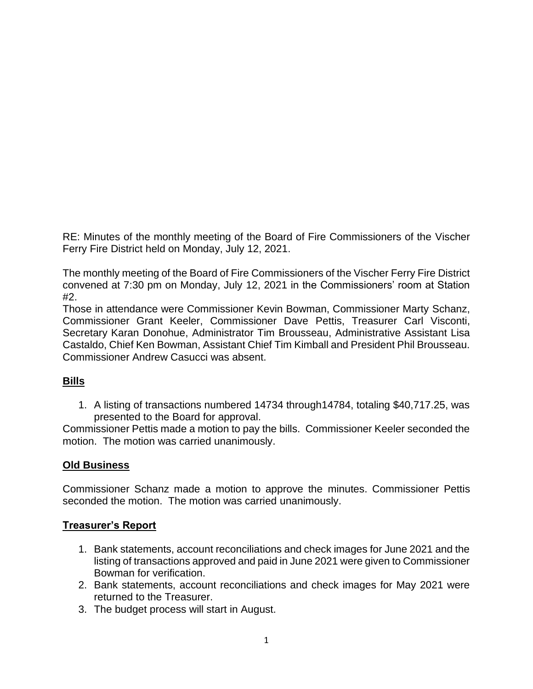RE: Minutes of the monthly meeting of the Board of Fire Commissioners of the Vischer Ferry Fire District held on Monday, July 12, 2021.

The monthly meeting of the Board of Fire Commissioners of the Vischer Ferry Fire District convened at 7:30 pm on Monday, July 12, 2021 in the Commissioners' room at Station #2.

Those in attendance were Commissioner Kevin Bowman, Commissioner Marty Schanz, Commissioner Grant Keeler, Commissioner Dave Pettis, Treasurer Carl Visconti, Secretary Karan Donohue, Administrator Tim Brousseau, Administrative Assistant Lisa Castaldo, Chief Ken Bowman, Assistant Chief Tim Kimball and President Phil Brousseau. Commissioner Andrew Casucci was absent.

# **Bills**

1. A listing of transactions numbered 14734 through14784, totaling \$40,717.25, was presented to the Board for approval.

Commissioner Pettis made a motion to pay the bills. Commissioner Keeler seconded the motion. The motion was carried unanimously.

# **Old Business**

Commissioner Schanz made a motion to approve the minutes. Commissioner Pettis seconded the motion. The motion was carried unanimously.

### **Treasurer's Report**

- 1. Bank statements, account reconciliations and check images for June 2021 and the listing of transactions approved and paid in June 2021 were given to Commissioner Bowman for verification.
- 2. Bank statements, account reconciliations and check images for May 2021 were returned to the Treasurer.
- 3. The budget process will start in August.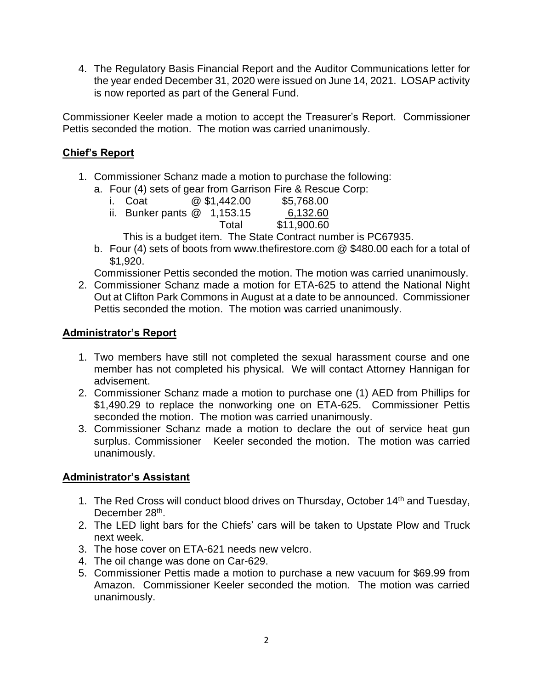4. The Regulatory Basis Financial Report and the Auditor Communications letter for the year ended December 31, 2020 were issued on June 14, 2021. LOSAP activity is now reported as part of the General Fund.

Commissioner Keeler made a motion to accept the Treasurer's Report. Commissioner Pettis seconded the motion. The motion was carried unanimously.

### **Chief's Report**

- 1. Commissioner Schanz made a motion to purchase the following:
	- a. Four (4) sets of gear from Garrison Fire & Rescue Corp:

| i. Coat                       | @\$1,442.00 | \$5,768.00  |
|-------------------------------|-------------|-------------|
| ii. Bunker pants $@$ 1,153.15 |             | 6,132.60    |
|                               | Total       | \$11,900.60 |

This is a budget item. The State Contract number is PC67935.

b. Four (4) sets of boots from www.thefirestore.com @ \$480.00 each for a total of \$1,920.

Commissioner Pettis seconded the motion. The motion was carried unanimously.

2. Commissioner Schanz made a motion for ETA-625 to attend the National Night Out at Clifton Park Commons in August at a date to be announced. Commissioner Pettis seconded the motion. The motion was carried unanimously.

### **Administrator's Report**

- 1. Two members have still not completed the sexual harassment course and one member has not completed his physical. We will contact Attorney Hannigan for advisement.
- 2. Commissioner Schanz made a motion to purchase one (1) AED from Phillips for \$1,490.29 to replace the nonworking one on ETA-625. Commissioner Pettis seconded the motion. The motion was carried unanimously.
- 3. Commissioner Schanz made a motion to declare the out of service heat gun surplus. Commissioner Keeler seconded the motion. The motion was carried unanimously.

# **Administrator's Assistant**

- 1. The Red Cross will conduct blood drives on Thursday, October 14<sup>th</sup> and Tuesday, December 28<sup>th</sup>.
- 2. The LED light bars for the Chiefs' cars will be taken to Upstate Plow and Truck next week.
- 3. The hose cover on ETA-621 needs new velcro.
- 4. The oil change was done on Car-629.
- 5. Commissioner Pettis made a motion to purchase a new vacuum for \$69.99 from Amazon. Commissioner Keeler seconded the motion. The motion was carried unanimously.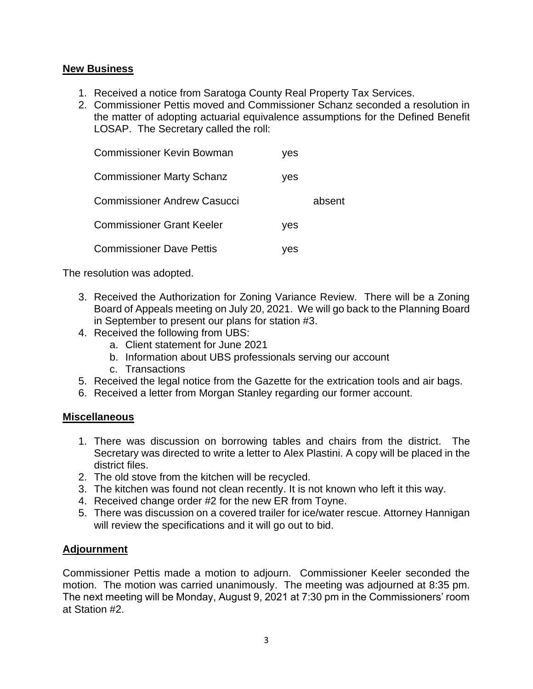### **New Business**

- 1. Received a notice from Saratoga County Real Property Tax Services.
- 2. Commissioner Pettis moved and Commissioner Schanz seconded a resolution in the matter of adopting actuarial equivalence assumptions for the Defined Benefit LOSAP. The Secretary called the roll:

| <b>Commissioner Kevin Bowman</b>   | ves |        |
|------------------------------------|-----|--------|
| <b>Commissioner Marty Schanz</b>   | yes |        |
| <b>Commissioner Andrew Casucci</b> |     | absent |
| <b>Commissioner Grant Keeler</b>   | ves |        |
| <b>Commissioner Dave Pettis</b>    | ves |        |

The resolution was adopted.

- 3. Received the Authorization for Zoning Variance Review. There will be a Zoning Board of Appeals meeting on July 20, 2021. We will go back to the Planning Board in September to present our plans for station #3.
- 4. Received the following from UBS:
	- a. Client statement for June 2021
	- b. Information about UBS professionals serving our account
	- c. Transactions
- 5. Received the legal notice from the Gazette for the extrication tools and air bags.
- 6. Received a letter from Morgan Stanley regarding our former account.

### **Miscellaneous**

- 1. There was discussion on borrowing tables and chairs from the district. The Secretary was directed to write a letter to Alex Plastini. A copy will be placed in the district files.
- 2. The old stove from the kitchen will be recycled.
- 3. The kitchen was found not clean recently. It is not known who left it this way.
- 4. Received change order #2 for the new ER from Toyne.
- 5. There was discussion on a covered trailer for ice/water rescue. Attorney Hannigan will review the specifications and it will go out to bid.

# **Adjournment**

Commissioner Pettis made a motion to adjourn. Commissioner Keeler seconded the motion. The motion was carried unanimously. The meeting was adjourned at 8:35 pm. The next meeting will be Monday, August 9, 2021 at 7:30 pm in the Commissioners' room at Station #2.